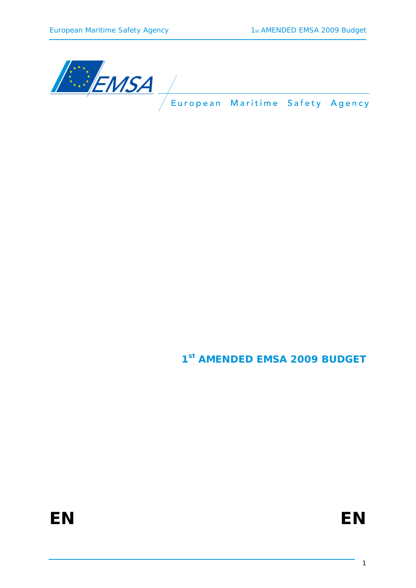

**1st AMENDED EMSA 2009 BUDGET**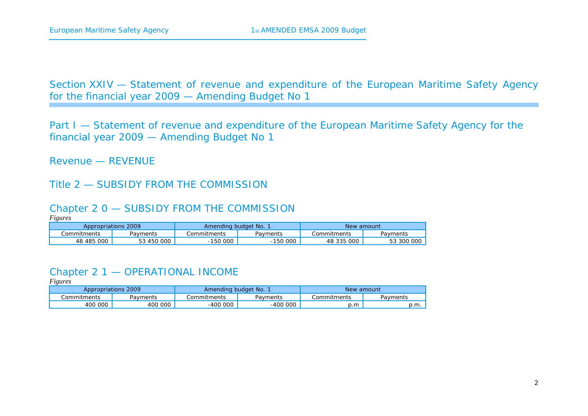Section XXIV — Statement of revenue and expenditure of the European Maritime Safety Agency for the financial year 2009 — Amending Budget No 1

Part I — Statement of revenue and expenditure of the European Maritime Safety Agency for the financial year 2009 — Amending Budget No 1

Revenue — REVENUE

#### Title 2 — SUBSIDY FROM THE COMMISSION

#### Chapter 2 0 — SUBSIDY FROM THE COMMISSION

*Figures* 

|               | Appropriations 2009 |             | Amending budget No. |               | New amount |  |
|---------------|---------------------|-------------|---------------------|---------------|------------|--|
| .commitments  | Payments            | Commitments | Payments            | . Commitments | Pavments   |  |
| 000<br>48 485 | 53 450 000          | 150 000     | 150 000             | 48 335 000    | 53 300 000 |  |

### Chapter 2 1 — OPERATIONAL INCOME

| Appropriations 2009 |          |              | Amending budget No. |             | New amount |
|---------------------|----------|--------------|---------------------|-------------|------------|
| .)ommitments        | Payments | .Commitments | Pavments            | Commitments | Payments   |
| 400 000             | 400 000  | $-400000$    | 000<br>$-400$       | p.m         | p.m.       |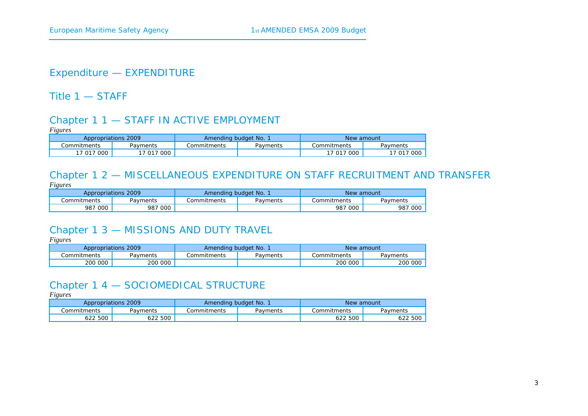## Expenditure — EXPENDITURE

Title 1 — STAFF

#### Chapter 1 1 — STAFF IN ACTIVE EMPLOYMENT

*Figures* 

| Appropriations 2009 |                                  | Amending budget No. |          | New amount  |            |
|---------------------|----------------------------------|---------------------|----------|-------------|------------|
| Commitments         | Pavments                         | Commitments         | Pavments | Commitments | Payments   |
| 000<br>7 0 1 7      | $^{\circ}$ 000 $^{\circ}$<br>017 |                     |          | 17 017 000  | 17 017 000 |

#### Chapter 1 2 — MISCELLANEOUS EXPENDITURE ON STAFF RECRUITMENT AND TRANSFER *Figures*

| $\sim$ $\sim$ $\sim$ $\sim$<br>Appropriations 2009 |            | Amending budget No. |          | New amount   |          |
|----------------------------------------------------|------------|---------------------|----------|--------------|----------|
| .<br>Commitments                                   | Payments   | Commitments         | Payments | Commitments: | Payments |
| 987 000                                            | 000<br>987 |                     |          | 987<br>000   | 987 000  |

#### Chapter 1 3 — MISSIONS AND DUTY TRAVEL

*Figures* 

| Appropriations 2009 |          | Amending budget No. |          | New amount  |          |
|---------------------|----------|---------------------|----------|-------------|----------|
| .:ommitments        | Payments | Commitments         | Pavments | Commitments | Pavments |
| 200 000             | 200 000  |                     |          | 200 000     | 200 000  |

## Chapter 1 4 — SOCIOMEDICAL STRUCTURE

| Appropriations 2009 |                | Amending budget No. |          | New amount  |          |
|---------------------|----------------|---------------------|----------|-------------|----------|
| Commitments         | Payments       | Commitments         | Payments | Commitments | Pavments |
| 22 500              | 522 500<br>52Z |                     |          | 500<br>622. | 500      |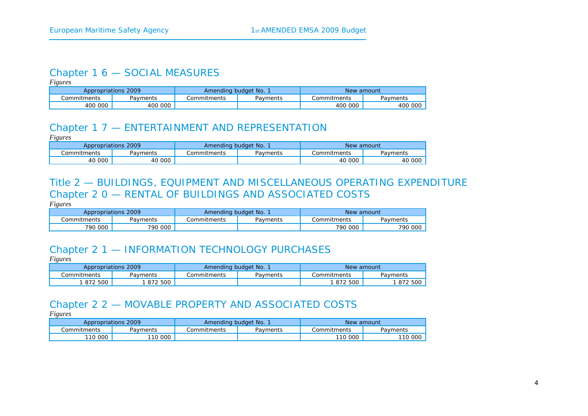#### Chapter 1 6 — SOCIAL MEASURES

*Figures* 

| Appropriations 2009 |            | Amending budget No. |          | New amount  |              |
|---------------------|------------|---------------------|----------|-------------|--------------|
| こommitments         | Payments   | Commitments         | Payments | Commitments | Payments     |
| 400 000             | 000<br>400 |                     |          | 400 000     | . 000<br>400 |

#### Chapter 1 7 — ENTERTAINMENT AND REPRESENTATION

*Figures* 

|             | Appropriations 2009 |             | Amending budget No. 1 | New amount  |          |  |
|-------------|---------------------|-------------|-----------------------|-------------|----------|--|
| Commitments | Pavments            | Commitments | Pavments              | Commitments | Payments |  |
| 40 000      | 40 000              |             |                       | 40 000      | 40 000   |  |

## Title 2 — BUILDINGS, EQUIPMENT AND MISCELLANEOUS OPERATING EXPENDITURE Chapter 2 0 — RENTAL OF BUILDINGS AND ASSOCIATED COSTS

*Figures* 

| Appropriations 2009 |          | Amending budget No. |          | New amount  |          |
|---------------------|----------|---------------------|----------|-------------|----------|
| Commitments         | Payments | Commitments         | Pavments | Commitments | Payments |
| 790 000             | 790 000  |                     |          | 790 000     | 790 000  |

# Chapter 2 1 — INFORMATION TECHNOLOGY PURCHASES

*Figures* 

|             | Appropriations 2009<br>Amending budget No. 1 |             |          | New amount  |          |
|-------------|----------------------------------------------|-------------|----------|-------------|----------|
| Commitments | Payments                                     | Commitments | Payments | Commitments | Payments |
| 1 872 500   | 872 500                                      |             |          | 872 500     | 872 500  |

# Chapter 2 2 — MOVABLE PROPERTY AND ASSOCIATED COSTS

|              | Appropriations 2009<br>Amending budget No. 1 |               | New amount |             |          |
|--------------|----------------------------------------------|---------------|------------|-------------|----------|
| .)ommitments | Payments                                     | . Commitments | Pavments   | Commitments | Payments |
| 10 000       | 110 000                                      |               |            | 110 000     | 110 000  |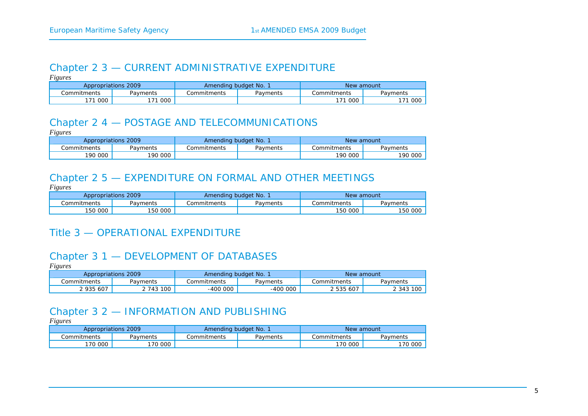#### Chapter 2 3 — CURRENT ADMINISTRATIVE EXPENDITURE

*Figures* 

| Appropriations 2009<br>Amending budget No. |          |              | New amount |               |            |
|--------------------------------------------|----------|--------------|------------|---------------|------------|
| Commitments                                | Payments | ommitments ت | Payments   | . Commitments | Pavments   |
| 000                                        | 000      |              |            | 171 000       | 000<br>171 |

## Chapter 2 4 — POSTAGE AND TELECOMMUNICATIONS

*Figures* 

| Appropriations 2009 |          | Amending budget No. 1 |          | New amount  |          |
|---------------------|----------|-----------------------|----------|-------------|----------|
| Commitments         | Payments | Commitments           | Payments | Commitments | Payments |
| 190 000             | 190 000  |                       |          | 190 000     | 190 000  |

## Chapter 2 5 — EXPENDITURE ON FORMAL AND OTHER MEETINGS

*Figures* 

| Appropriations 2009 |          | Amending budget No. |          | New amount  |          |
|---------------------|----------|---------------------|----------|-------------|----------|
| ommitments .        | Payments | <b>Commitments</b>  | Payments | Commitments | Payments |
| 150 000             | 150 000  |                     |          | 150 000     | 150 000  |

# Title 3 — OPERATIONAL EXPENDITURE

# Chapter 3 1 — DEVELOPMENT OF DATABASES

*Figures* 

| Appropriations 2009 |          | Amending budget No. |          | New amount  |           |
|---------------------|----------|---------------------|----------|-------------|-----------|
| Commitments         | Pavments | ommitments .        | Payments | Commitments | Payments  |
| 2 935 607           | 743 100  | -400 000            | -400 000 | 2 535 607   | 2 343 100 |

#### Chapter 3 2 — INFORMATION AND PUBLISHING

| Appropriations 2009 |          | Amending budget No. |          | New amount   |          |
|---------------------|----------|---------------------|----------|--------------|----------|
| Commitments         | Payments | Commitments         | Pavments | .Commitments | Payments |
| 70 000              | 170 000  |                     |          | 170 000      | 170 000  |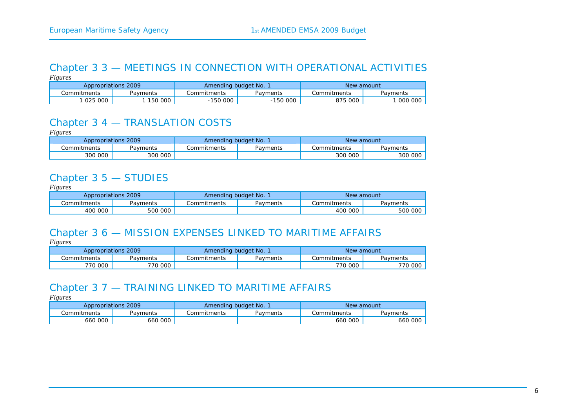#### Chapter 3 3 — MEETINGS IN CONNECTION WITH OPERATIONAL ACTIVITIES *Figures*

| Appropriations 2009 |          | Amending budget No. |           | New amount  |          |
|---------------------|----------|---------------------|-----------|-------------|----------|
| Commitments         | Payments | Commitments         | Payments  | Commitments | Payments |
| 025 000             | 150 000  | 150 000             | $-150000$ | 875 000     | 000 000  |

### Chapter 3 4 — TRANSLATION COSTS

*Figures* 

| Appropriations 2009 |          | Amending budget No. 1 |          | New amount   |          |
|---------------------|----------|-----------------------|----------|--------------|----------|
| Commitments         | Payments | <b>Commitments</b>    | Payments | .Commitments | Pavments |
| 300 000             | 300 000  |                       |          | 300 000      | 300 000  |

### Chapter 3 5 — STUDIES

*Figures* 

| Appropriations 2009 |          | Amending budget No. |          | New amount   |          |
|---------------------|----------|---------------------|----------|--------------|----------|
| Commitments:        | Pavments | Commitments         | Payments | Commitments: | Payments |
| 400 000             | 500 000  |                     |          | 400 000      | 500 000  |

### Chapter 3 6 — MISSION EXPENSES LINKED TO MARITIME AFFAIRS

*Figures* 

| Appropriations 2009 |          | Amending budget No. |          | New amount   |          |
|---------------------|----------|---------------------|----------|--------------|----------|
| Commitments         | Pavments | Commitments         | Payments | Commitments. | Payments |
| 770 000             | 770 000  |                     |          | 770 000      | 770 000  |

## Chapter 3 7 — TRAINING LINKED TO MARITIME AFFAIRS

| Appropriations 2009 |          | Amending budget No. |          | New amount  |          |
|---------------------|----------|---------------------|----------|-------------|----------|
| .:ommitments        | Payments | Commitments         | Pavments | Commitments | Pavments |
| 000<br>660          | 660 000  |                     |          | 660 000     | 660 000  |